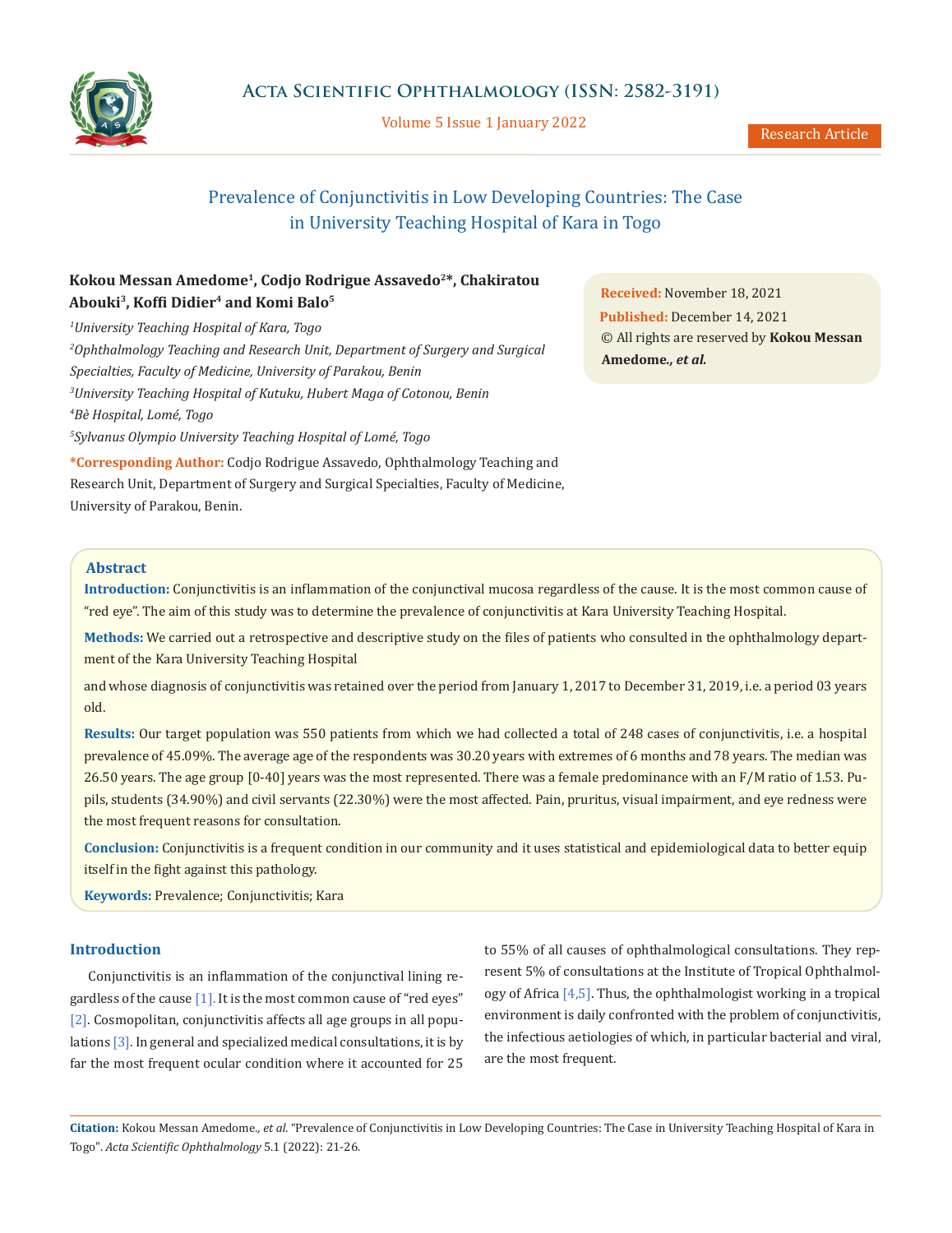

Volume 5 Issue 1 January 2022

# Prevalence of Conjunctivitis in Low Developing Countries: The Case in University Teaching Hospital of Kara in Togo

# **Kokou Messan Amedome1, Codjo Rodrigue Assavedo2\*, Chakiratou Abouki3, Koffi Didier4 and Komi Balo5**

 *University Teaching Hospital of Kara, Togo Ophthalmology Teaching and Research Unit, Department of Surgery and Surgical Specialties, Faculty of Medicine, University of Parakou, Benin University Teaching Hospital of Kutuku, Hubert Maga of Cotonou, Benin Bè Hospital, Lomé, Togo Sylvanus Olympio University Teaching Hospital of Lomé, Togo* **\*Corresponding Author:** Codjo Rodrigue Assavedo, Ophthalmology Teaching and

Research Unit, Department of Surgery and Surgical Specialties, Faculty of Medicine, University of Parakou, Benin.

**Received:** November 18, 2021 **Published:** December 14, 2021 © All rights are reserved by **Kokou Messan Amedome***., et al.*

# **Abstract**

**Introduction:** Conjunctivitis is an inflammation of the conjunctival mucosa regardless of the cause. It is the most common cause of "red eye". The aim of this study was to determine the prevalence of conjunctivitis at Kara University Teaching Hospital.

**Methods:** We carried out a retrospective and descriptive study on the files of patients who consulted in the ophthalmology department of the Kara University Teaching Hospital

and whose diagnosis of conjunctivitis was retained over the period from January 1, 2017 to December 31, 2019, i.e. a period 03 years old.

**Results:** Our target population was 550 patients from which we had collected a total of 248 cases of conjunctivitis, i.e. a hospital prevalence of 45.09%. The average age of the respondents was 30.20 years with extremes of 6 months and 78 years. The median was 26.50 years. The age group [0-40] years was the most represented. There was a female predominance with an F/M ratio of 1.53. Pupils, students (34.90%) and civil servants (22.30%) were the most affected. Pain, pruritus, visual impairment, and eye redness were the most frequent reasons for consultation.

**Conclusion:** Conjunctivitis is a frequent condition in our community and it uses statistical and epidemiological data to better equip itself in the fight against this pathology.

**Keywords:** Prevalence; Conjunctivitis; Kara

# **Introduction**

Conjunctivitis is an inflammation of the conjunctival lining regardless of the cause [1]. It is the most common cause of "red eyes" [2]. Cosmopolitan, conjunctivitis affects all age groups in all populations [3]. In general and specialized medical consultations, it is by far the most frequent ocular condition where it accounted for 25

to 55% of all causes of ophthalmological consultations. They represent 5% of consultations at the Institute of Tropical Ophthalmology of Africa [4,5]. Thus, the ophthalmologist working in a tropical environment is daily confronted with the problem of conjunctivitis, the infectious aetiologies of which, in particular bacterial and viral, are the most frequent.

**Citation:** Kokou Messan Amedome*., et al.* "Prevalence of Conjunctivitis in Low Developing Countries: The Case in University Teaching Hospital of Kara in Togo". *Acta Scientific Ophthalmology* 5.1 (2022): 21-26.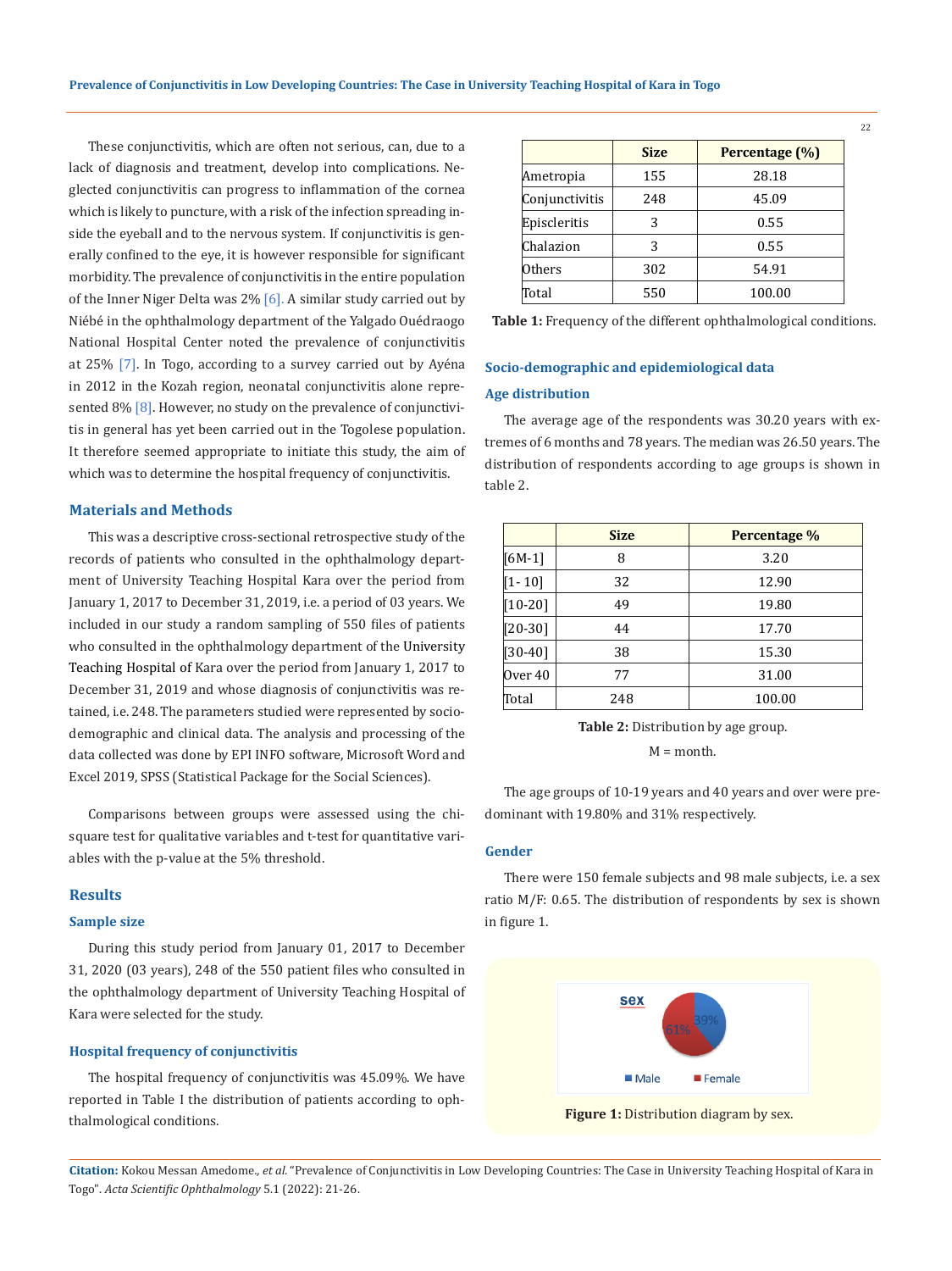These conjunctivitis, which are often not serious, can, due to a lack of diagnosis and treatment, develop into complications. Neglected conjunctivitis can progress to inflammation of the cornea which is likely to puncture, with a risk of the infection spreading inside the eyeball and to the nervous system. If conjunctivitis is generally confined to the eye, it is however responsible for significant morbidity. The prevalence of conjunctivitis in the entire population of the Inner Niger Delta was  $2\%$  [6]. A similar study carried out by Niébé in the ophthalmology department of the Yalgado Ouédraogo National Hospital Center noted the prevalence of conjunctivitis at 25% [7]. In Togo, according to a survey carried out by Ayéna in 2012 in the Kozah region, neonatal conjunctivitis alone represented 8% [8]. However, no study on the prevalence of conjunctivitis in general has yet been carried out in the Togolese population. It therefore seemed appropriate to initiate this study, the aim of which was to determine the hospital frequency of conjunctivitis.

# **Materials and Methods**

This was a descriptive cross-sectional retrospective study of the records of patients who consulted in the ophthalmology department of University Teaching Hospital Kara over the period from January 1, 2017 to December 31, 2019, i.e. a period of 03 years. We included in our study a random sampling of 550 files of patients who consulted in the ophthalmology department of the University Teaching Hospital of Kara over the period from January 1, 2017 to December 31, 2019 and whose diagnosis of conjunctivitis was retained, i.e. 248. The parameters studied were represented by sociodemographic and clinical data. The analysis and processing of the data collected was done by EPI INFO software, Microsoft Word and Excel 2019, SPSS (Statistical Package for the Social Sciences).

Comparisons between groups were assessed using the chisquare test for qualitative variables and t-test for quantitative variables with the p-value at the 5% threshold.

### **Results**

#### **Sample size**

During this study period from January 01, 2017 to December 31, 2020 (03 years), 248 of the 550 patient files who consulted in the ophthalmology department of University Teaching Hospital of Kara were selected for the study.

### **Hospital frequency of conjunctivitis**

The hospital frequency of conjunctivitis was 45.09%. We have reported in Table I the distribution of patients according to ophthalmological conditions.

|                | <b>Size</b> | Percentage (%) |  |
|----------------|-------------|----------------|--|
| Ametropia      | 155         | 28.18          |  |
| Conjunctivitis | 248         | 45.09          |  |
| Episcleritis   | 3           | 0.55           |  |
| Chalazion      | 3           | 0.55           |  |
| Others         | 302         | 54.91          |  |
| Total          | 550         | 100.00         |  |

**Table 1:** Frequency of the different ophthalmological conditions.

# **Socio-demographic and epidemiological data**

# **Age distribution**

The average age of the respondents was 30.20 years with extremes of 6 months and 78 years. The median was 26.50 years. The distribution of respondents according to age groups is shown in table 2.

|            | <b>Size</b> | Percentage % |  |
|------------|-------------|--------------|--|
| $[6M-1]$   | 8           | 3.20         |  |
| $[1 - 10]$ | 32          | 12.90        |  |
| $[10-20]$  | 49          | 19.80        |  |
| $[20-30]$  | 44          | 17.70        |  |
| $[30-40]$  | 38          | 15.30        |  |
| Over 40    | 77          | 31.00        |  |
| Total      | 248         | 100.00       |  |

**Table 2:** Distribution by age group.

M = month.

The age groups of 10-19 years and 40 years and over were predominant with 19.80% and 31% respectively.

### **Gender**

There were 150 female subjects and 98 male subjects, i.e. a sex ratio M/F: 0.65. The distribution of respondents by sex is shown in figure 1.



**Citation:** Kokou Messan Amedome*., et al.* "Prevalence of Conjunctivitis in Low Developing Countries: The Case in University Teaching Hospital of Kara in Togo". *Acta Scientific Ophthalmology* 5.1 (2022): 21-26.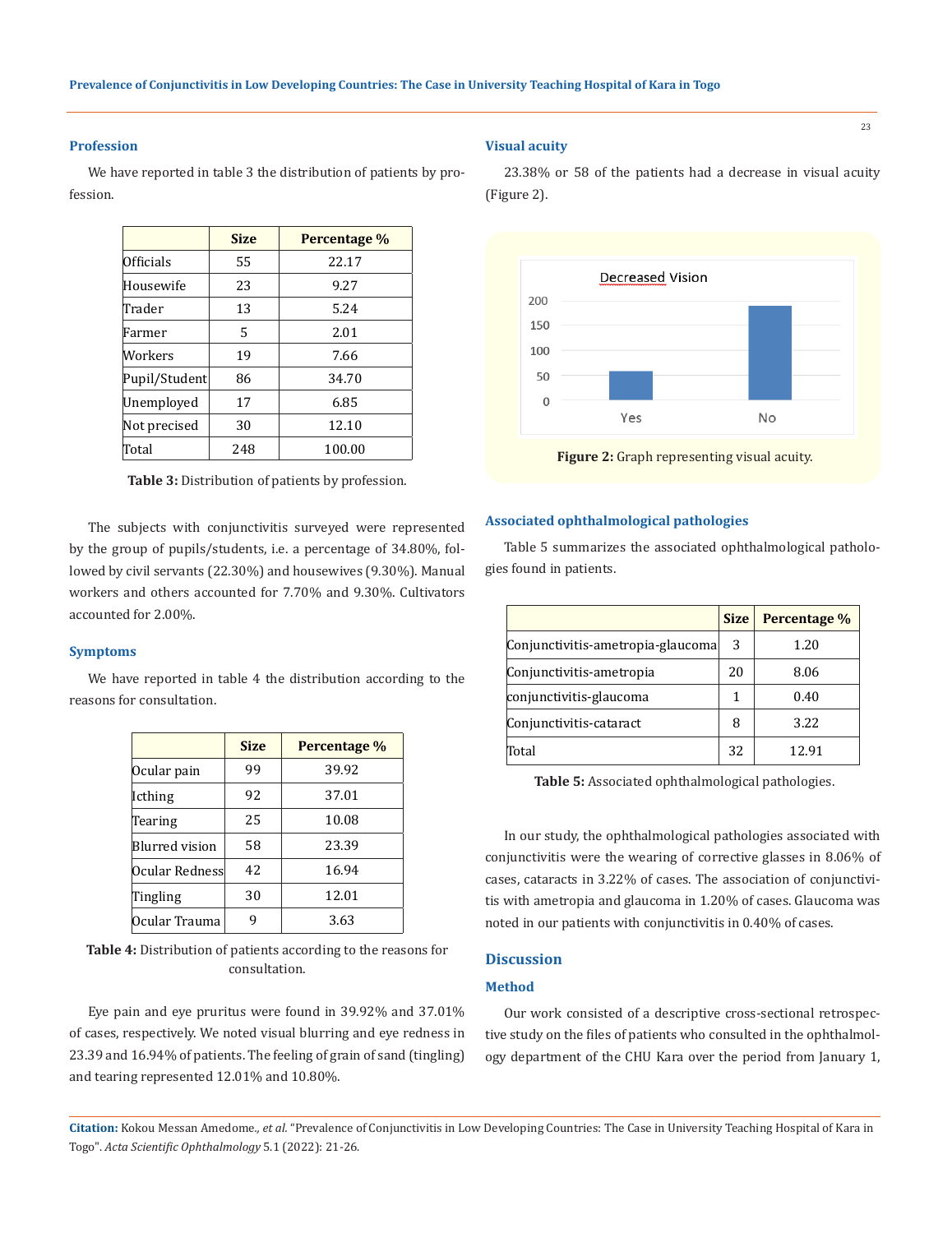## **Profession**

We have reported in table 3 the distribution of patients by profession.

|               | <b>Size</b> | Percentage % |  |
|---------------|-------------|--------------|--|
| Officials     | 55          | 22.17        |  |
| Housewife     | 23          | 9.27         |  |
| Trader        | 13          | 5.24         |  |
| Farmer        | 5           | 2.01         |  |
| Workers       | 19          | 7.66         |  |
| Pupil/Student | 86          | 34.70        |  |
| Unemployed    | 17          | 6.85         |  |
| Not precised  | 30          | 12.10        |  |
| Total         | 248         | 100.00       |  |

**Table 3:** Distribution of patients by profession.

The subjects with conjunctivitis surveyed were represented by the group of pupils/students, i.e. a percentage of 34.80%, followed by civil servants (22.30%) and housewives (9.30%). Manual workers and others accounted for 7.70% and 9.30%. Cultivators accounted for 2.00%.

## **Symptoms**

We have reported in table 4 the distribution according to the reasons for consultation.

|                | <b>Size</b> | Percentage % |  |
|----------------|-------------|--------------|--|
| Ocular pain    | 99          | 39.92        |  |
| Icthing        | 92          | 37.01        |  |
| Tearing        | 25          | 10.08        |  |
| Blurred vision | 58          | 23.39        |  |
| Ocular Redness | 42          | 16.94        |  |
| Tingling       | 30          | 12.01        |  |
| Ocular Trauma  |             | 3.63         |  |

**Table 4:** Distribution of patients according to the reasons for consultation.

Eye pain and eye pruritus were found in 39.92% and 37.01% of cases, respectively. We noted visual blurring and eye redness in 23.39 and 16.94% of patients. The feeling of grain of sand (tingling) and tearing represented 12.01% and 10.80%.

### **Visual acuity**

(Figure 2).

**Decreased Vision** 200 150 100 50  $\sqrt{ }$ Yes No **Figure 2:** Graph representing visual acuity.

23.38% or 58 of the patients had a decrease in visual acuity

# **Associated ophthalmological pathologies**

Table 5 summarizes the associated ophthalmological pathologies found in patients.

|                                   | <b>Size</b> | Percentage % |
|-----------------------------------|-------------|--------------|
| Conjunctivitis-ametropia-glaucoma |             | 1.20         |
| Conjunctivitis-ametropia          |             | 8.06         |
| conjunctivitis-glaucoma           |             | 0.40         |
| Conjunctivitis-cataract           |             | 3.22         |
| Total                             | 32          | 12.91        |

**Table 5:** Associated ophthalmological pathologies.

In our study, the ophthalmological pathologies associated with conjunctivitis were the wearing of corrective glasses in 8.06% of cases, cataracts in 3.22% of cases. The association of conjunctivitis with ametropia and glaucoma in 1.20% of cases. Glaucoma was noted in our patients with conjunctivitis in 0.40% of cases.

# **Discussion**

### **Method**

Our work consisted of a descriptive cross-sectional retrospective study on the files of patients who consulted in the ophthalmology department of the CHU Kara over the period from January 1,

**Citation:** Kokou Messan Amedome*., et al.* "Prevalence of Conjunctivitis in Low Developing Countries: The Case in University Teaching Hospital of Kara in Togo". *Acta Scientific Ophthalmology* 5.1 (2022): 21-26.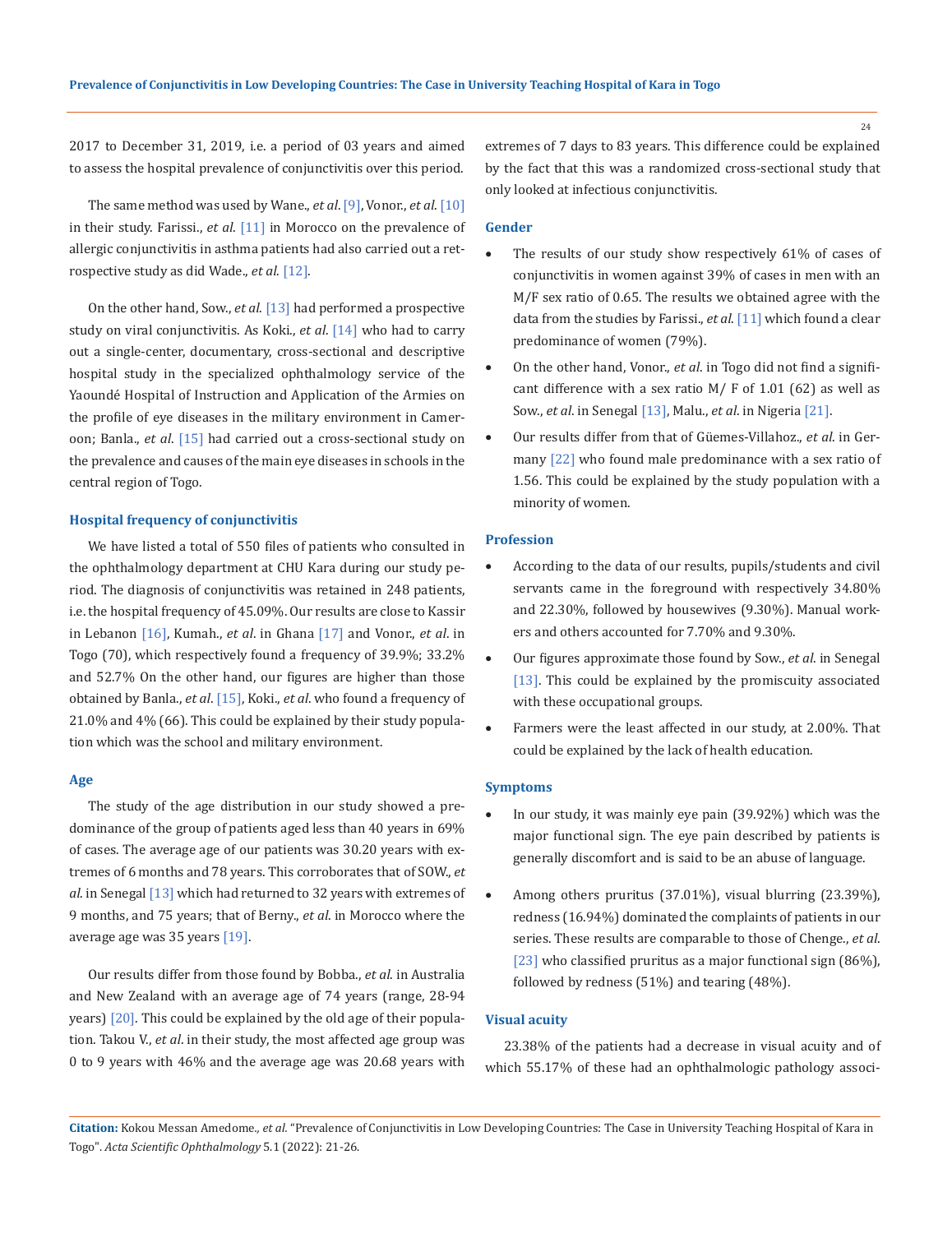2017 to December 31, 2019, i.e. a period of 03 years and aimed to assess the hospital prevalence of conjunctivitis over this period.

The same method was used by Wane., *et al*. [9], Vonor., *et al*. [10] in their study. Farissi., *et al*. [11] in Morocco on the prevalence of allergic conjunctivitis in asthma patients had also carried out a retrospective study as did Wade., *et al*. [12].

On the other hand, Sow., *et al*. [13] had performed a prospective study on viral conjunctivitis. As Koki., *et al*. [14] who had to carry out a single-center, documentary, cross-sectional and descriptive hospital study in the specialized ophthalmology service of the Yaoundé Hospital of Instruction and Application of the Armies on the profile of eye diseases in the military environment in Cameroon; Banla., *et al*. [15] had carried out a cross-sectional study on the prevalence and causes of the main eye diseases in schools in the central region of Togo.

### **Hospital frequency of conjunctivitis**

We have listed a total of 550 files of patients who consulted in the ophthalmology department at CHU Kara during our study period. The diagnosis of conjunctivitis was retained in 248 patients, i.e. the hospital frequency of 45.09%. Our results are close to Kassir in Lebanon [16], Kumah., *et al*. in Ghana [17] and Vonor., *et al*. in Togo (70), which respectively found a frequency of 39.9%; 33.2% and 52.7% On the other hand, our figures are higher than those obtained by Banla., *et al*. [15], Koki., *et al*. who found a frequency of 21.0% and 4% (66). This could be explained by their study population which was the school and military environment.

#### **Age**

The study of the age distribution in our study showed a predominance of the group of patients aged less than 40 years in 69% of cases. The average age of our patients was 30.20 years with extremes of 6 months and 78 years. This corroborates that of SOW., *et al*. in Senegal [13] which had returned to 32 years with extremes of 9 months, and 75 years; that of Berny., *et al*. in Morocco where the average age was 35 years [19].

Our results differ from those found by Bobba., *et al*. in Australia and New Zealand with an average age of 74 years (range, 28-94 years) [20]. This could be explained by the old age of their population. Takou V., *et al*. in their study, the most affected age group was 0 to 9 years with 46% and the average age was 20.68 years with

extremes of 7 days to 83 years. This difference could be explained by the fact that this was a randomized cross-sectional study that only looked at infectious conjunctivitis.

### **Gender**

- The results of our study show respectively  $61\%$  of cases of conjunctivitis in women against 39% of cases in men with an M/F sex ratio of 0.65. The results we obtained agree with the data from the studies by Farissi., *et al*. [11] which found a clear predominance of women (79%).
- On the other hand, Vonor., et al. in Togo did not find a significant difference with a sex ratio  $M/F$  of 1.01 (62) as well as Sow., *et al*. in Senegal [13], Malu., *et al*. in Nigeria [21].
- Our results differ from that of Güemes-Villahoz., et al. in Germany [22] who found male predominance with a sex ratio of 1.56. This could be explained by the study population with a minority of women.

# **Profession**

- According to the data of our results, pupils/students and civil servants came in the foreground with respectively 34.80% and 22.30%, followed by housewives (9.30%). Manual workers and others accounted for 7.70% and 9.30%.
- • Our figures approximate those found by Sow., *et al*. in Senegal [13]. This could be explained by the promiscuity associated with these occupational groups.
- Farmers were the least affected in our study, at 2.00%. That could be explained by the lack of health education.

#### **Symptoms**

- In our study, it was mainly eye pain (39.92%) which was the major functional sign. The eye pain described by patients is generally discomfort and is said to be an abuse of language.
- Among others pruritus  $(37.01\%)$ , visual blurring  $(23.39\%)$ , redness (16.94%) dominated the complaints of patients in our series. These results are comparable to those of Chenge., *et al*. [23] who classified pruritus as a major functional sign (86%), followed by redness (51%) and tearing (48%).

## **Visual acuity**

23.38% of the patients had a decrease in visual acuity and of which 55.17% of these had an ophthalmologic pathology associ-

**Citation:** Kokou Messan Amedome*., et al.* "Prevalence of Conjunctivitis in Low Developing Countries: The Case in University Teaching Hospital of Kara in Togo". *Acta Scientific Ophthalmology* 5.1 (2022): 21-26.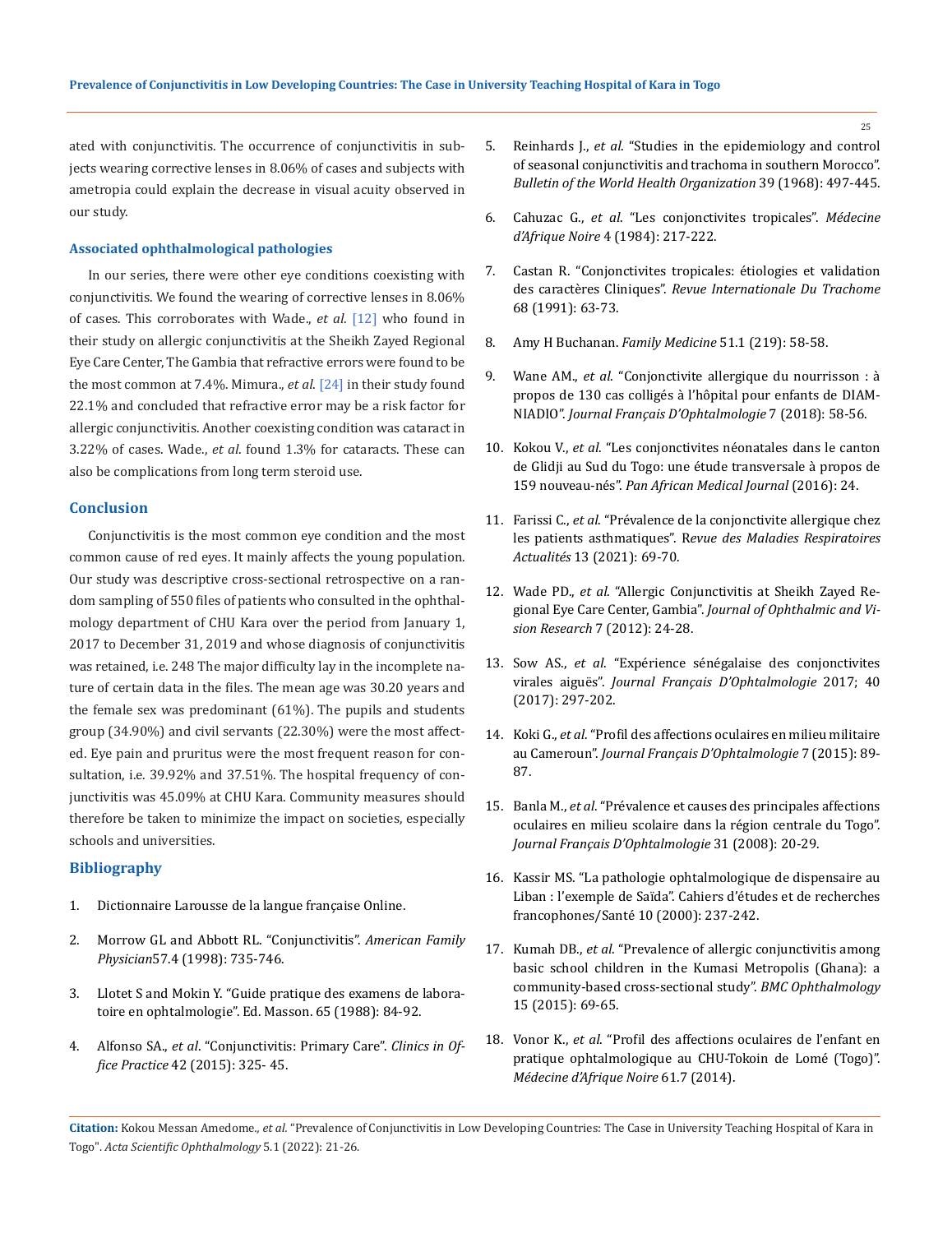ated with conjunctivitis. The occurrence of conjunctivitis in subjects wearing corrective lenses in 8.06% of cases and subjects with ametropia could explain the decrease in visual acuity observed in our study.

### **Associated ophthalmological pathologies**

In our series, there were other eye conditions coexisting with conjunctivitis. We found the wearing of corrective lenses in 8.06% of cases. This corroborates with Wade., *et al*. [12] who found in their study on allergic conjunctivitis at the Sheikh Zayed Regional Eye Care Center, The Gambia that refractive errors were found to be the most common at 7.4%. Mimura., *et al*. [24] in their study found 22.1% and concluded that refractive error may be a risk factor for allergic conjunctivitis. Another coexisting condition was cataract in 3.22% of cases. Wade., *et al*. found 1.3% for cataracts. These can also be complications from long term steroid use.

### **Conclusion**

Conjunctivitis is the most common eye condition and the most common cause of red eyes. It mainly affects the young population. Our study was descriptive cross-sectional retrospective on a random sampling of 550 files of patients who consulted in the ophthalmology department of CHU Kara over the period from January 1, 2017 to December 31, 2019 and whose diagnosis of conjunctivitis was retained, i.e. 248 The major difficulty lay in the incomplete nature of certain data in the files. The mean age was 30.20 years and the female sex was predominant (61%). The pupils and students group (34.90%) and civil servants (22.30%) were the most affected. Eye pain and pruritus were the most frequent reason for consultation, i.e. 39.92% and 37.51%. The hospital frequency of conjunctivitis was 45.09% at CHU Kara. Community measures should therefore be taken to minimize the impact on societies, especially schools and universities.

# **Bibliography**

- 1. Dictionnaire Larousse de la langue française Online.
- 2. [Morrow GL and Abbott RL. "Conjunctivitis".](https://pubmed.ncbi.nlm.nih.gov/9490996/) *American Family Physician*[57.4 \(1998\): 735-746.](https://pubmed.ncbi.nlm.nih.gov/9490996/)
- 3. Llotet S and Mokin Y. "Guide pratique des examens de laboratoire en ophtalmologie". Ed. Masson. 65 (1988): 84-92.
- 4. Alfonso SA., *et al*. "Conjunctivitis: Primary Care". *Clinics in Office Practice* 42 (2015): 325- 45.
- 5. Reinhards J., *et al*[. "Studies in the epidemiology and control](https://pubmed.ncbi.nlm.nih.gov/5304804/)  [of seasonal conjunctivitis and trachoma in southern Morocco".](https://pubmed.ncbi.nlm.nih.gov/5304804/)  *[Bulletin of the World Health Organization](https://pubmed.ncbi.nlm.nih.gov/5304804/)* 39 (1968): 497-445.
- 6. Cahuzac G., *et al*. "Les conjonctivites tropicales". *Médecine d'Afrique Noire* 4 (1984): 217-222.
- 7. Castan R. "Conjonctivites tropicales: étiologies et validation des caractères Cliniques". *Revue Internationale Du Trachome*  68 (1991): 63-73.
- 8. Amy H Buchanan. *Family Medicine* 51.1 (219): 58-58.
- 9. Wane AM., *et al*[. "Conjonctivite allergique du nourrisson : à](https://www.sfo-online.fr/media/18312)  [propos de 130 cas colligés à l'hôpital pour enfants de DIAM-](https://www.sfo-online.fr/media/18312)NIADIO". *[Journal Français D'Ophtalmologie](https://www.sfo-online.fr/media/18312)* 7 (2018): 58-56.
- 10. Kokou V., *et al*[. "Les conjonctivites néonatales dans le canton](https://www.researchgate.net/publication/302917826_Les_conjonctivites_neonatales_dans_le_canton_de_Glidji_au_Sud_du_Togo_une_etude_transversale_a_propos_de_159_nouveau-nes)  [de Glidji au Sud du Togo: une étude transversale à propos de](https://www.researchgate.net/publication/302917826_Les_conjonctivites_neonatales_dans_le_canton_de_Glidji_au_Sud_du_Togo_une_etude_transversale_a_propos_de_159_nouveau-nes)  159 nouveau-nés". *[Pan African Medical Journal](https://www.researchgate.net/publication/302917826_Les_conjonctivites_neonatales_dans_le_canton_de_Glidji_au_Sud_du_Togo_une_etude_transversale_a_propos_de_159_nouveau-nes)* (2016): 24.
- 11. Farissi C., *et al*. "Prévalence de la conjonctivite allergique chez les patients asthmatiques". R*evue des Maladies Respiratoires Actualités* 13 (2021): 69-70.
- 12. Wade PD., *et al*[. "Allergic Conjunctivitis at Sheikh Zayed Re](https://www.ncbi.nlm.nih.gov/pmc/articles/PMC3381103/)gional Eye Care Center, Gambia". *[Journal of Ophthalmic and Vi](https://www.ncbi.nlm.nih.gov/pmc/articles/PMC3381103/)[sion Research](https://www.ncbi.nlm.nih.gov/pmc/articles/PMC3381103/)* 7 (2012): 24-28.
- 13. Sow AS., *et al*[. "Expérience sénégalaise des conjonctivites](https://www.researchgate.net/publication/315594508_Experience_senegalaise_des_conjonctivites_virales_aigues)  virales aiguës". *[Journal Français D'Ophtalmologie](https://www.researchgate.net/publication/315594508_Experience_senegalaise_des_conjonctivites_virales_aigues)* 2017; 40 [\(2017\): 297-202.](https://www.researchgate.net/publication/315594508_Experience_senegalaise_des_conjonctivites_virales_aigues)
- 14. Koki G., *et al*[. "Profil des affections oculaires en milieu militaire](https://www.researchgate.net/publication/316040616_PROFIL_DES_AFFECTIONS_OCULAIRES_EN_MILIEU_MILITAIRE_AU_CAMEROUN)  au Cameroun". *[Journal Français D'Ophtalmologie](https://www.researchgate.net/publication/316040616_PROFIL_DES_AFFECTIONS_OCULAIRES_EN_MILIEU_MILITAIRE_AU_CAMEROUN)* 7 (2015): 89- [87.](https://www.researchgate.net/publication/316040616_PROFIL_DES_AFFECTIONS_OCULAIRES_EN_MILIEU_MILITAIRE_AU_CAMEROUN)
- 15. Banla M., *et al*[. "Prévalence et causes des principales affections](https://www.researchgate.net/publication/246236850_009_Prevalence_et_causes_des_principales_affections_oculaires_en_milieu_scolaire_dans_la_region_centrale_du_Togo)  [oculaires en milieu scolaire dans la région centrale du Togo".](https://www.researchgate.net/publication/246236850_009_Prevalence_et_causes_des_principales_affections_oculaires_en_milieu_scolaire_dans_la_region_centrale_du_Togo)  *[Journal Français D'Ophtalmologie](https://www.researchgate.net/publication/246236850_009_Prevalence_et_causes_des_principales_affections_oculaires_en_milieu_scolaire_dans_la_region_centrale_du_Togo)* 31 (2008): 20-29.
- 16. Kassir MS. "La pathologie ophtalmologique de dispensaire au Liban : l'exemple de Saïda". Cahiers d'études et de recherches francophones/Santé 10 (2000): 237-242.
- 17. Kumah DB., *et al*[. "Prevalence of allergic conjunctivitis among](https://bmcophthalmol.biomedcentral.com/articles/10.1186/s12886-015-0053-8)  [basic school children in the Kumasi Metropolis \(Ghana\): a](https://bmcophthalmol.biomedcentral.com/articles/10.1186/s12886-015-0053-8)  [community-based cross-sectional study".](https://bmcophthalmol.biomedcentral.com/articles/10.1186/s12886-015-0053-8) *BMC Ophthalmology* [15 \(2015\): 69-65.](https://bmcophthalmol.biomedcentral.com/articles/10.1186/s12886-015-0053-8)
- 18. Vonor K., *et al*. "Profil des affections oculaires de l'enfant en pratique ophtalmologique au CHU-Tokoin de Lomé (Togo)". *Médecine d'Afrique Noire* 61.7 (2014).

**Citation:** Kokou Messan Amedome*., et al.* "Prevalence of Conjunctivitis in Low Developing Countries: The Case in University Teaching Hospital of Kara in Togo". *Acta Scientific Ophthalmology* 5.1 (2022): 21-26.